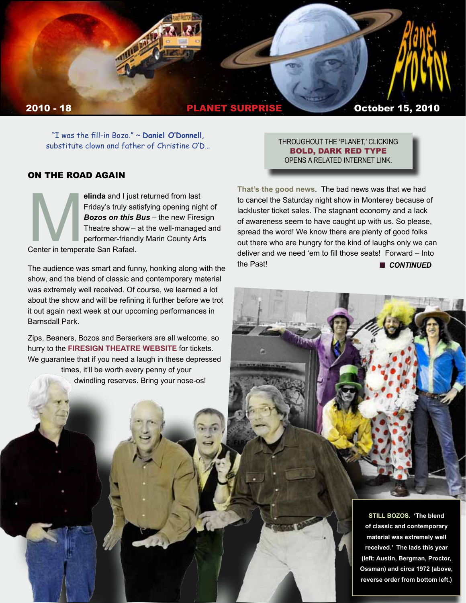

"I was the fill-in Bozo." ~ **Daniel O'Donnell**, substitute clown and father of Christine O'D…

#### ON THE ROAD AGAIN

elinda and I just returned from last<br>Friday's truly satisfying opening nig<br>Bozos on this Bus – the new Fires<br>Theatre show – at the well-manage<br>performer-friendly Marin County Art<br>Center in temperate San Rafael. Friday's truly satisfying opening night of *Bozos on this Bus* – the new Firesign Theatre show – at the well-managed and performer-friendly Marin County Arts Center in temperate San Rafael.

The audience was smart and funny, honking along with the show, and the blend of classic and contemporary material was extremely well received. Of course, we learned a lot about the show and will be refining it further before we trot it out again next week at our upcoming performances in Barnsdall Park.

Zips, Beaners, Bozos and Berserkers are all welcome, so hurry to the **FIRESIGN THEATRE WEBSITE** for tickets. We guarantee that if you need a laugh in these depressed times, it'll be worth every penny of your dwindling reserves. Bring your nose-os!

THROUGHOUT THE 'PLANET,' CLICKING BOLD, DARK RED TYPE OPENS A RELATED INTERNET LINK.

**That's the good news**. The bad news was that we had to cancel the Saturday night show in Monterey because of lackluster ticket sales. The stagnant economy and a lack of awareness seem to have caught up with us. So please, spread the word! We know there are plenty of good folks out there who are hungry for the kind of laughs only we can deliver and we need 'em to fill those seats! Forward – Into the Past! **n** CONTINUED

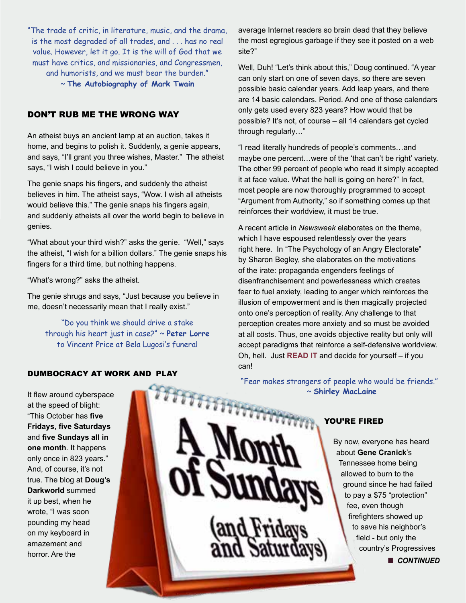"The trade of critic, in literature, music, and the drama, is the most degraded of all trades, and . . . has no real value. However, let it go. It is the will of God that we must have critics, and missionaries, and Congressmen, and humorists, and we must bear the burden." ~ **The Autobiography of Mark Twain**

#### DON'T RUB ME THE WRONG WAY

An atheist buys an ancient lamp at an auction, takes it home, and begins to polish it. Suddenly, a genie appears, and says, "I'll grant you three wishes, Master." The atheist says, "I wish I could believe in you."

The genie snaps his fingers, and suddenly the atheist believes in him. The atheist says, "Wow. I wish all atheists would believe this." The genie snaps his fingers again, and suddenly atheists all over the world begin to believe in genies.

"What about your third wish?" asks the genie. "Well," says the atheist, "I wish for a billion dollars." The genie snaps his fingers for a third time, but nothing happens.

"What's wrong?" asks the atheist.

The genie shrugs and says, "Just because you believe in me, doesn't necessarily mean that I really exist."

"Do you think we should drive a stake through his heart just in case?" ~ **Peter Lorre**  to Vincent Price at Bela Lugosi's funeral

#### DUMBOCRACY AT WORK AND PLAY

It flew around cyberspace at the speed of blight: "This October has **five Fridays**, **five Saturdays**  and **five Sundays all in one month**. It happens only once in 823 years." And, of course, it's not true. The blog at **Doug's Darkworld** summed it up best, when he wrote, "I was soon pounding my head on my keyboard in amazement and horror. Are the

average Internet readers so brain dead that they believe the most egregious garbage if they see it posted on a web site?"

Well, Duh! "Let's think about this," Doug continued. "A year can only start on one of seven days, so there are seven possible basic calendar years. Add leap years, and there are 14 basic calendars. Period. And one of those calendars only gets used every 823 years? How would that be possible? It's not, of course – all 14 calendars get cycled through regularly…"

"I read literally hundreds of people's comments…and maybe one percent...were of the 'that can't be right' variety. The other 99 percent of people who read it simply accepted it at face value. What the hell is going on here?" In fact, most people are now thoroughly programmed to accept "Argument from Authority," so if something comes up that reinforces their worldview, it must be true.

A recent article in *Newsweek* elaborates on the theme, which I have espoused relentlessly over the years right here. In "The Psychology of an Angry Electorate" by Sharon Begley, she elaborates on the motivations of the irate: propaganda engenders feelings of disenfranchisement and powerlessness which creates fear to fuel anxiety, leading to anger which reinforces the illusion of empowerment and is then magically projected onto one's perception of reality. Any challenge to that perception creates more anxiety and so must be avoided at all costs. Thus, one avoids objective reality but only will accept paradigms that reinforce a self-defensive worldview. Oh, hell. Just **READ IT** and decide for yourself – if you can!

"Fear makes strangers of people who would be friends."<br>
~ Shirley MacLaine<br>
~ Shirley MacLaine ~ **Shirley MacLaine**

#### YOU'RE FIRED

By now, everyone has heard about **Gene Cranick**'s Tennessee home being allowed to burn to the ground since he had failed to pay a \$75 "protection" fee, even though firefighters showed up to save his neighbor's field - but only the country's Progressives

**n** CONTINUED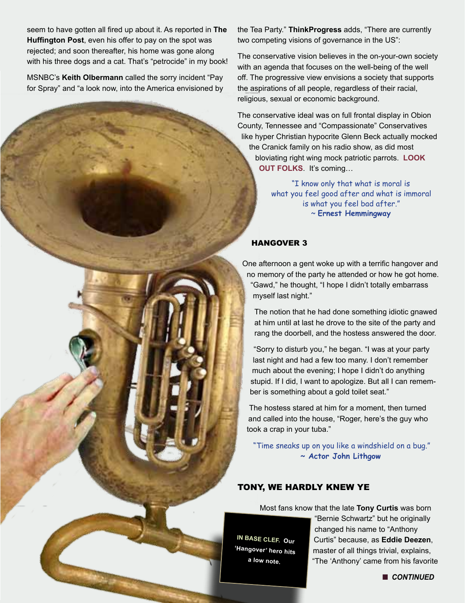seem to have gotten all fired up about it. As reported in **The Huffington Post**, even his offer to pay on the spot was rejected; and soon thereafter, his home was gone along with his three dogs and a cat. That's "petrocide" in my book!

MSNBC's **Keith Olbermann** called the sorry incident "Pay for Spray" and "a look now, into the America envisioned by the Tea Party." **ThinkProgress** adds, "There are currently two competing visions of governance in the US":

The conservative vision believes in the on-your-own society with an agenda that focuses on the well-being of the well off. The progressive view envisions a society that supports the aspirations of all people, regardless of their racial, religious, sexual or economic background.

The conservative ideal was on full frontal display in Obion County, Tennessee and "Compassionate" Conservatives like hyper Christian hypocrite Glenn Beck actually mocked the Cranick family on his radio show, as did most bloviating right wing mock patriotic parrots. **LOOK OUT FOLKS**. It's coming…

> "I know only that what is moral is what you feel good after and what is immoral is what you feel bad after." ~ **Ernest Hemmingway**

#### HANGOVER 3

One afternoon a gent woke up with a terrific hangover and no memory of the party he attended or how he got home. "Gawd," he thought, "I hope I didn't totally embarrass myself last night."

The notion that he had done something idiotic gnawed at him until at last he drove to the site of the party and rang the doorbell, and the hostess answered the door.

"Sorry to disturb you," he began. "I was at your party last night and had a few too many. I don't remember much about the evening; I hope I didn't do anything stupid. If I did, I want to apologize. But all I can remember is something about a gold toilet seat."

The hostess stared at him for a moment, then turned and called into the house, "Roger, here's the guy who took a crap in your tuba."

"Time sneaks up on you like a windshield on a bug." **~ Actor John Lithgow**

### TONY, WE HARDLY KNEW YE

Most fans know that the late **Tony Curtis** was born

**IN BASE CLEF. Our 'Hangover' hero hits a low note.**

"Bernie Schwartz" but he originally changed his name to "Anthony Curtis" because, as **Eddie Deezen**, master of all things trivial, explains, "The 'Anthony' came from his favorite

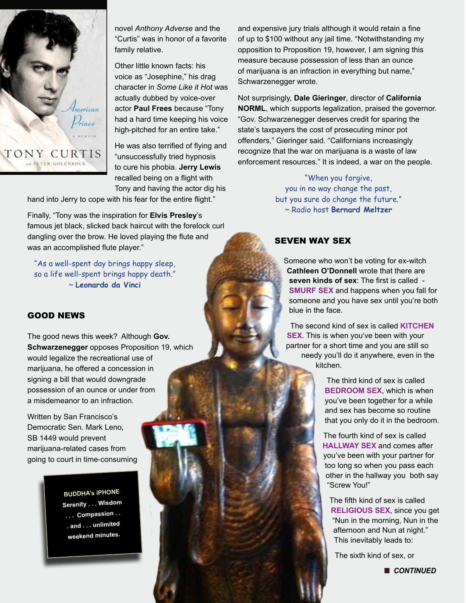

novel *Anthony Adverse* and the "Curtis" was in honor of a favorite family relative.

Other little known facts: his voice as "Josephine," his drag character in *Some Like it Hot* was actually dubbed by voice-over actor **Paul Frees** because "Tony had a hard time keeping his voice high-pitched for an entire take."

He was also terrified of flying and "unsuccessfully tried hypnosis to cure his phobia. **Jerry Lewis** recalled being on a flight with Tony and having the actor dig his

hand into Jerry to cope with his fear for the entire flight."

Finally, "Tony was the inspiration for **Elvis Presley**'s famous jet black, slicked back haircut with the forelock curl dangling over the brow. He loved playing the flute and was an accomplished flute player."

"As a well-spent day brings happy sleep, so a life well-spent brings happy death." ~ **Leonardo da Vinci**

#### GOOD NEWS

The good news this week? Although **Gov. Schwarzenegger** opposes Proposition 19, which would legalize the recreational use of marijuana, he offered a concession in signing a bill that would downgrade possession of an ounce or under from a misdemeanor to an infraction.

Written by San Francisco's Democratic Sen. Mark Leno, SB 1449 would prevent marijuana-related cases from going to court in time-consuming

> **BUDDHA's iPHONE Serenity . . . Wisdom . . . Compassion . . . and . . . unlimited weekend minutes.**

and expensive jury trials although it would retain a fine of up to \$100 without any jail time. "Notwithstanding my opposition to Proposition 19, however, I am signing this measure because possession of less than an ounce of marijuana is an infraction in everything but name," Schwarzenegger wrote.

Not surprisingly, **Dale Gieringer**, director of **California NORML**, which supports legalization, praised the governor. "Gov. Schwarzenegger deserves credit for sparing the state's taxpayers the cost of prosecuting minor pot offenders," Gieringer said. "Californians increasingly recognize that the war on marijuana is a waste of law enforcement resources." It is indeed, a war on the people.

> "When you forgive, you in no way change the past, but you sure do change the future." ~ Radio host **Bernard Meltzer**

#### SEVEN WAY SEX

Someone who won't be voting for ex-witch **Cathleen O'Donnell** wrote that there are **seven kinds of sex**: The first is called - **SMURF SEX** and happens when you fall for someone and you have sex until you're both blue in the face.

The second kind of sex is called **KITCHEN SEX**. This is when you've been with your partner for a short time and you are still so needy you'll do it anywhere, even in the kitchen.

> The third kind of sex is called **BEDROOM SEX**, which is when you've been together for a while and sex has become so routine that you only do it in the bedroom.

> The fourth kind of sex is called **HALLWAY SEX** and comes after you've been with your partner for too long so when you pass each other in the hallway you both say "Screw You!"

The fifth kind of sex is called **RELIGIOUS SEX**, since you get "Nun in the morning, Nun in the afternoon and Nun at night." This inevitably leads to:

The sixth kind of sex, or